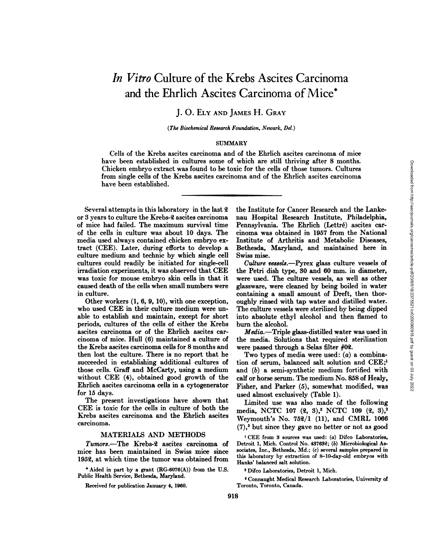# *In Vitro Culture of the Krebs Ascites Carcinoma* and the Ehrlich Ascites Carcinoma of Mice\*

## **J. 0. ELY AND JAMES H. GRAY**

#### *(The Biochemical Research Foundation, Newark, Del.)*

#### **SUMMARY**

Cells of the Krebs ascites carcinoma and of the Ehrlich ascites carcinoma of mice have been established in cultures some of which are still thriving after 8 months. Chicken embryo extract was found to be toxic for the cells of those tumors. Cultures from single cells of the Krebs ascites carcinoma and of the Ehrlich ascites carcinoma have been established.

Several attempts in this laboratory in the last  $2$ or 3 years to culture the Krebs-2 ascites carcinoma of mice had failed. The maximum survival time of the cells in culture was about 10 days. The media used always contained chicken embryo ex tract (CEE). Later, during efforts to develop a culture medium and technic by which single cell cultures could readily be initiated for single-cell irradiation experiments, it was observed that CEE was toxic for mouse embryo skin cells in that it caused death of the cells when small numbers were in culture.

Other workers (1, 6, 9, 10), with one exception, who used CEE in their culture medium were unable to establish and maintain, except for short periods, cultures of the cells of either the Krebs ascites carcinoma or of the Ehrlich ascites car cinoma of mice. Hull (6) maintained a culture of the Krebs ascites carcinoma cells for 8 months and then lost the culture. There is no report that he succeeded in establishing additional cultures of those cells. Graff and McCarty, using a medium without CEE (4), obtained good growth of the Ehrlich ascites carcinoma cells in a cytogenerator for 15 days.

The present investigations have shown that CEE is toxic for the cells in culture of both the Krebs ascites carcinoma and the Ehrlich ascites carcinoma.

#### MATERIALS AND METHODS

*Tumors.—The Krebs-2 ascites carcinoma of* mice has been maintained in Swiss mice since **195@, at which time the tumor was obtained from**

**C Aided in part by a grant (RG-6076(A)) from the U.S.** Public Health Service, Bethesda, Maryland.

Received for publication January 4,1960.

the Institute for Cancer Research and the Lanke nau Hospital Research Institute, Philadelphia, Pennsylvania. The Ehrlich (Lettré) ascites car cinoma was obtained in 1957 from the National Institute of Arthritis and Metabolic Diseases, Swiss mise.

when are suit unruring atter of montains.<br>
The Institute for Cancer Research and the Lanke-<br>
The Institute for Cancer Research and the Lanke-<br>
and Hospital Research Institute, Philadelphia,<br>
Pennsylvania. The Ehrlich (Let *Culture vesseL@.—Pyrexglass culture vessels of* the Petri dish type, 30 and 60 mm. in diameter, were used. The culture vessels, as well as other glassware, were cleaned by being boiled in water containing a small amount of Dreft, then thor oughly rinsed with tap water and distilled water. The culture vessels were sterilized by being dipped into absolute ethyl alcohol and then flamed to burn the alcohol.

*Media.—Triple glass-distilled water was used in* the media. Solutions that required sterilization were passed through a Selas filter  $#02$ .

Two types of media were used:  $(a)$  a combination of serum, balanced salt solution and CEE;' and (b) a semi-synthetic medium fortified with calf or horse serum. The medium No. 858 of Healy, Fisher, and Parker (5), somewhat modified, was used almost exclusively (Table 1).

Limited use was also made of the following media, NCTC 107 (2, 3),<sup>2</sup> NCTC 109 (2, 3),<sup>2</sup> Weymouth's No. 75@/1 (11), and CMRL 1066 *(7),3but since they gave no better or not as good*

**I CEE from 3 sources was used : (a) Difco Laboratories,** Detroit 1, Mich. Control No. 487632; (b) Microbiological As sociates, Inc., Bethesda, Md.; (c) several samples prepared in this laboratory by extraction of 8—10-day-old embryos with Hanks' balanced salt solution.

**2 Difco Laboratories, Detroit 1, Mich.**

**3 Connaught Medical Research Laboratories, University of** Toronto, Toronto, Canada.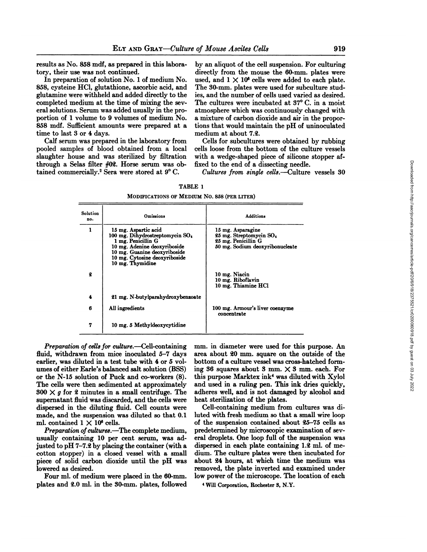results as No. 858 mdi, as prepared in this labora tory, their use was not continued.

In preparation of solution No. 1 of medium No. 858, cysteine HC1, glutathione, ascorbic acid, and glutamine were withheld and added directly to the completed medium at the time of mixing the sev era! solutions. Serum was added usually in the pro portion of 1 volume to 9 volumes of medium No. 858 mdf. Sufficient amounts were prepared at a time to last 3 or 4 days.

Calf serum was prepared in the laboratory from pooled samples of blood obtained from a local slaughter house and was sterilized by filtration through a Selas filter #0g. Horse serum was ob tained commercially.<sup>2</sup> Sera were stored at 9°C.

by an aliquot of the cell suspension. For culturing directly from the mouse the 60-mm. plates were used, and  $1 \times 10^6$  cells were added to each plate. The 30-mm. plates were used for subculture stud ies, and the number of cells used varied as desired. The cultures were incubated at 37°C. in a moist atmosphere which was continuously changed with a mixture of carbon dioxide and air in the propor tions that would maintain the pH of uninoculated medium at about 7.@.

Cells for subcultures were obtained by rubbing cells loose from the bottom of the culture vessels with a wedge-shaped piece of silicone stopper affixed to the end of a dissecting needle.

*Cultures from single cells.—Culture vessels 30*

| TABLE |  |  |
|-------|--|--|
|-------|--|--|

MODIFICATIONS OF MEDIUM NO. 858 (PER LITER)

| <b>Solution</b><br>no. | Omissions                                                                                                                                                                                                      | <b>Additions</b>                                                                                       |
|------------------------|----------------------------------------------------------------------------------------------------------------------------------------------------------------------------------------------------------------|--------------------------------------------------------------------------------------------------------|
| 1                      | 15 mg. Aspartic acid<br>100 mg. Dihydrostreptomycin SO <sub>4</sub><br>1 mg. Penicillin G<br>10 mg. Adenine deoxyriboside<br>10 mg. Guanine deoxyriboside<br>10 mg. Cytosine deoxyriboside<br>10 mg. Thymidine | 15 mg. Asparagine<br>25 mg. Streptomycin SO.<br>25 mg. Penicillin G<br>50 mg. Sodium deoxyribonucleate |
| 2                      |                                                                                                                                                                                                                | 10 mg. Niacin<br>10 mg. Riboflavin<br>10 mg. Thiamine HCl                                              |
| 4                      | 21 mg. N-butylparahydroxybenzoate                                                                                                                                                                              |                                                                                                        |
| 6                      | All ingredients                                                                                                                                                                                                | 100 mg. Armour's liver coenzyme<br>concentrate                                                         |
| 7                      | 10 mg. 5 Methyldeoxycytidine                                                                                                                                                                                   |                                                                                                        |

*Preparation of cell@forculture.—Cell-containing* fluid, withdrawn from mice inoculated  $5-7$  days earlier, was diluted in a test tube with 4 or 5 volumes of either Earle's balanced salt solution (BSS) or the N-15 solution of Puck and co-workers (8). The cells were then sedimented at approximately  $800 \times g$  for 2 minutes in a small centrifuge. The supernatant fluid was discarded, and the cells were dispersed in the diluting fluid. Cell counts were made, and the suspension was diluted so that 0.1 ml. contained  $1 \times 10^6$  cells.

*Preparation of cultures.*—The complete medium, usually containing 10 per cent serum, was ad justed to pH  $7-7.2$  by placing the container (with a cotton stopper) in a closed vessel with a small piece of solid carbon dioxide until the pH was lowered as desired.

Four ml. of medium were placed in the 60-mm. plates and 2.0 ml. in the 30-mm. plates, followed mm. in diameter were used for this purpose. An area about 20 mm. square on the outside of the bottom of a culture vessel was cross-hatched form ing 36 squares about 3 mm.  $\times$  3 mm. each. For this purpose Marktex ink4 was diluted with Xylol and used in a ruling pen. This ink dries quickly, adheres well, and is not damaged by alcohol and heat sterilization of the plates.

Cell-containing medium from cultures was di luted with fresh medium so that a small wire loop of the suspension contained about @5—75 cells as predetermined by microscopic examination of sev eral droplets. One loop full of the suspension was dispersed in each plate containing 1.2 ml. of medium. The culture plates were then incubated for about 24 hours, at which time the medium was removed, the plate inverted and examined under low power of the microscope. The location of each

**4 WIll Corporation, Rochester 8, N.Y.**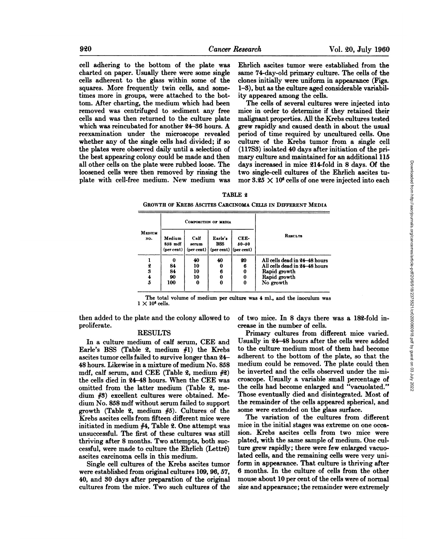cell adhering to the bottom of the plate was charted on paper. Usually there were some single cells adherent to the glass within some of the squares. More frequently twin cells, and some times more in groups, were attached to the bot tom. After charting, the medium which had been removed was centrifuged to sediment any free cells and was then returned to the culture plate which was reincubated for another 24-36 hours. A reexamination under the microscope revealed whether any of the single cells had divided; if so the plates were observed daily until a selection of the best appearing colony could be made and then all other cells on the plate were rubbed loose. The loosened cells were then removed by rinsing the plate with cell-free medium. New medium was Ehrlich ascites tumor were established from the same 74-day-old primary culture. The cells of the clones initially were uniform in appearance (Figs. 1-3), but as the culture aged considerable variability appeared among the cells.

The cells of several cultures were injected into mice in order to determine if they retained their malignant properties. All the Krebs cultures tested grew rapidly and caused death in about the usual period of time required by uncultured cells. One culture of the Krebs tumor from a single cell (11753) isolated 40 days after initiation of the pri days increased in mice 214-fold in 8 days. Of the two single-cell cultures of the Ehrlich ascites tu mor  $3.25 \times 10^6$  cells of one were injected into each

#### TABLE 2

**GROWTH OF KREBS ASCITES CARCINOMA CEus IN DIFFERENT MEDIA**

|               | COMPOSITION OF MEDIA            |                             |                                                  |                   |                               |
|---------------|---------------------------------|-----------------------------|--------------------------------------------------|-------------------|-------------------------------|
| MEDIUM<br>NO. | Medium<br>858 mdf<br>(per cent) | Calf<br>serum<br>(per cent) | Earle's<br><b>BSS</b><br>$(per cent)$ (per cent) | CEE-<br>$50 - 50$ | RESULTS                       |
|               | 0                               | 40                          | 40                                               | 20                | All cells dead in 24-48 hours |
| 2             | 84                              | 10                          | 0                                                | 6                 | All cells dead in 24–48 hours |
| 3             | 84                              | 10                          | 6                                                | 0                 | Rapid growth                  |
|               | 90                              | 10                          | 0                                                | 0                 | Rapid growth                  |
| 5             | 100                             | Ω                           | 0                                                | $\bf{0}$          | No growth                     |
|               |                                 |                             |                                                  |                   |                               |

The total volume of medium per culture was 4 ml., and the inoculum was  $1 \times 10^6$  cells.

then added to the plate and the colony allowed to proliferate.

### **RESULTS**

In a culture medium of calf serum, CEE and Earle's BSS (Table 2, medium  $#1$ ) the Krebs ascites tumor cells failed to survive longer than @4— **48 hours. Likewise in a mixture of medium No. 858** mdf, calf serum, and CEE (Table 2, medium  $#2$ ) the cells died in @4—48 hours. When the CEE was omitted from the latter medium (Table 2, medium #3) excellent cultures were obtained. Me dium No. 858 mdf without serum failed to support growth (Table 2, medium  $#5$ ). Cultures of the Krebs ascites cells from fifteen different mice were initiated in medium  $#4$ , Table 2. One attempt was unsuccessful. The first of these cultures was still thriving after 8 months. Two attempts, both suc cessful, were made to culture the Ehrlich (Lettré) ascites carcinoma cells in this medium.

Single cell cultures of the Krebs ascites tumor were established from original cultures 109, 96, 57, **40, and 30 days after preparation of the original** cultures from the mice. Two such cultures of the of two mice. In 8 days there was a 18@-fold in crease in the number of cells.

mary culture and maintained for an additional 115<br>
days increased in mice 214-fold in 8 days. Of the<br>
two single-cell cultures of the Ehrlich ascites tu-<br>
mor 3.25  $\times$  10<sup>6</sup> cells of one were injected into each<br>  $\mathbf{E}$ Primary cultures from different mice varied. Usually in @4—48 hours after the cells were added to the culture medium most of them had become adherent to the bottom of the plate, so that the medium could be removed. The plate could then be inverted and the cells observed under the mi croscope. Usually a variable small percentage of the cells had become enlarged and "vacuolated." Those eventually died and disintegrated. Most of the remainder of the cells appeared spherical, and some were extended on the glass surface.

The variation of the cultures from different mice in the initial stages was extreme on one occa sion. Krebs ascites cells from two mice were plated, with the same sample of medium. One culture grew rapidly; there were few enlarged vacuo lated cells, and the remaining cells were very uni form in appearance. That culture is thriving after **6 months. In the culture of cells from the other** mouse about 10 per cent of the cells were of normal size and appearance; the remainder were extremely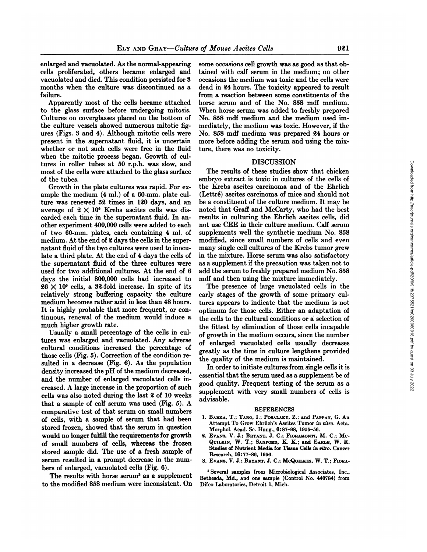enlarged and vacuolated. As the normal-appearing cells proliferated, others became enlarged and vacuolated and died. This condition persisted for 3 months when the culture was discontinued as a failure.

Apparently most of the cells became attached to the glass surface before undergoing mitosis. Cultures on coverglasses placed on the bottom of the culture vessels showed numerous mitotic fig ures (Figs. 3 and 4).Although mitotic cells were present in the supernatant fluid, it is uncertain whether or not such cells were free in the fluid when the mitotic process began. Growth of cul tures in roller tubes at 50 r.p.h. was slow, and most of the cells were attached to the glass surface of the tubes.

Growth in the plate cultures was rapid. For ex ample the medium (4 ml.) of a 60-mm. plate cul ture was renewed 52 times in 120 days, and an average of  $2 \times 10^6$  Krebs ascites cells was discarded each time in the supernatant fluid. In another experiment 400,000 cells were added to each of two 60-mm. plates, each containing 4 ml. of medium. At the end of 2 days the cells in the supernatant fluid of the two cultures were used to inoculate a third plate. At the end of 4 days the cells of the supernatant fluid of the three cultures were used for two additional cultures. At the end of 6 days the initial 800,000 cells had increased to  $26 \times 10^6$  cells, a 32-fold increase. In spite of its relatively strong buffering capacity the culture medium becomes rather acid in less than 48 hours. It is highly probable that more frequent, or continuous, renewal of the medium would induce a much higher growth rate.

Usually a small percentage of the cells in cul tures was enlarged and vacuolated. Any adverse cultural conditions increased the percentage of those cells (Fig. 5). Correction of the condition re sulted in a decrease (Fig. 6). As the population density increased the pH of the medium decreased, and the number of enlarged vacuolated cells in creased. A large increase in the proportion of such cells was also noted during the last  $2$  of 10 weeks that a sample of calf serum was used (Fig. 5). A comparative test of that serum on small numbers of cells, with a sample of serum that had been stored frozen, showed that the serum in question would no longer fulfill the requirements for growth of small numbers of cells, whereas the frozen stored sample did. The use of a fresh sample of serum resulted in a prompt decrease in the num hers of enlarged, vacuolated cells (Fig. 6).

The results with horse serum<sup>5</sup> as a supplement to the modified 858 medium were inconsistent. On

some occasions cell growth was as good as that ob tamed with calf serum in the medium; on other occasions the medium was toxic and the cells were dead in 24 hours. The toxicity appeared to result from a reaction between some constituents of the horse serum and of the No. 858 mdf medium. When horse serum was added to freshly prepared No. 858 mdf medium and the medium used im mediately, the medium was toxic. However, if the No. 858 mdi medium was prepared 24 hours or more before adding the serum and using the mix ture, there was no toxicity.

#### DISCUSSION

The results of these studies show that chicken embryo extract is toxic in cultures of the cells of the Krebs ascites carcinoma and of the Ehrlich *(Lettré)ascites carcinomaof mice and should not* be a constituent of the culture medium. It may be noted that Graff and McCarty, who had the best results in culturing the Ehrlich ascites cells, did not use CEE in their culture medium. Calf serum supplements well the synthetic medium No. 858 modified, since small numbers of cells and even many single cell cultures of the Krebs tumor grew in the mixture. Horse serum was also satisfactory as a supplement if the precaution was taken not to add the serum to freshly prepared medium No. 858 mdf and then using the mixture immediately.

The presence of large vacuolated cells in the early stages of the growth of some primary cul tures appears to indicate that the medium is not optimum for those cells. Either an adaptation of the cells to the cultural conditions or a selection of the fittest by elimination of those cells incapable of growth in the medium occurs, since the number of enlarged vacuolated cells usually decreases greatly as the time in culture lengthens provided the quality of the medium is maintained.

In order to initiate cultures from single cells it is essential that the serum used as a supplement be of good quality. Frequent testing of the serum as a supplement with very small numbers of cells is advisable.

#### REFERENCES

- **1. BARKA, T. ; TARO, I. ; POSALAKY,Z. ; and PAPPAY, G. An** Attempt To Grow Ehrlich's Ascites Tumor in vitro. Acta. Morphol. Acad. Sc. Hung., 6:87—98,1955—56.
- 2. Evans, V. J.; BRYANT, J. C.; FIORAMONTI, M. C.; Mc-QUILKIN, W. T.; SANFORD, K. K.; and EARLE, W. R. Studies of Nutrient Media for Tissue Cells in vitro. Cancer Research, 16:77—86, 1956.
- **3. EVANS, V. J.; BaYAicr, J. C.; McQuiuuN, W. T.; Fioaa**

5 Several samples from Microbiological Associates, Inc., Bethesda, Md., and one sample (Control No. 440784) from Difco Laboratories, Detroit 1, Mich.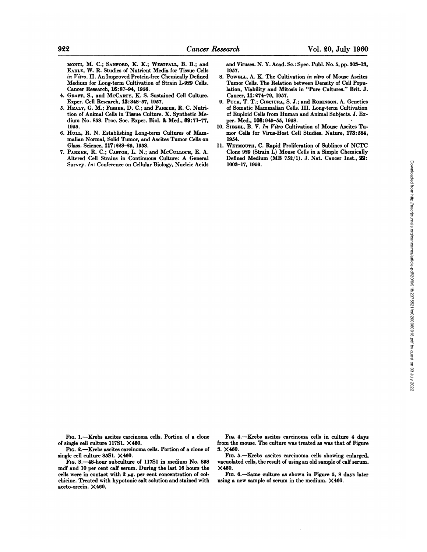**MONTI, M. C.; SANFORD, K. K.; WESTFALL, B. B.; and** EARLE, W. R. Studies of Nutrient Media for Tissue Cells *in Vitro. II. An Improved Protein-free Chemically Defined* Medium for Long-term Cultivation of Strain L-929 Cells. **Cancer Research,16:87—94,1956.**

- $4.$  **GRAFF, S., and McCARTY, K. S. Sustained Cell Culture.** Exper. Cell Research, 13:348—57, 1957.
- 5. HEALY, G. M.; FISHER, D. C.; and PARKER, R. C. Nutrition of Animal Cells in Tissue Culture. X. Synthetic Me dium No. 858. Proc. Soc. Exper. Biol. & Med., 89:71—77, 1955.
- **6. Huu@, R. N. Establishing Long-term Cultures of Mam** malian Normal, Solid Tumor, and Ascites Tumor Cells on Glass. Science, 117:228—25, 1953.
- 7. PARKER, R. C.; CASTOR, L. N.; and McCULLOCH, E. A. Altered Cell Strains in Continuous Culture: A General Survey. In: Conference on Cellular Biology, Nucleic Acids

and Viruses. N. Y. Acad. Sc.: Spec. Publ. No. 5, pp. 308-13, **1957.**

- 8. POWELL, A. K. The Cultivation in vitro of Mouse Ascites Tumor Cells. The Relation between Density of Cell Popu lation. Viability and Mitosis in "Pure Cultures." Brit. J. Cancer, 11:274—79,1957.
- **9. PUCK, T. T.; Cisciua.@, S. J.; and ROBINSON,A. Genetics** of Somatic Mammalian Cells. III. Long-term Cultivation of Euploid Cells from Human and Animal Subjects. J. Ex **per.Med., 108:945—55, 1958.**
- **10. SIEGEL, B. V. In Vitro Cultivation of Mouse Ascites Tu** mor Cells for Virus-Host Cell Studies. Nature, 173:584, 1954.
- **11. WEYMOUTH,C. Rapid Proliferation of Sublines of NCTC** Clone 929 (Strain L) Mouse Cells in a Simple Chemically Defined Medium (MB 752/1). J. Nat. Cancer Inst., 22: **1008—17,1959.**

FIG. 1.—Krebs ascites carcinoma cells. Portion of a clone of single cell culture 11751. X460.

Fio. 2.—Krebs ascites carcinoma cells. Portion of a clone of single cell culture 8551. X460.

Fio. 3.—48-hour subculture of 11751 in medium No. 858 mdf and 10 per cent calf serum. During the last 16 hours the cells were in contact with  $2 \mu g$ . per cent concentration of colchicine. Treated with hypotonic salt solution and stained with aceto-orcein. X460.

FIG. 4.-Krebs ascites carcinoma cells in culture 4 days from the mouse. The culture was treated as was that of Figure **3. X460.**

Fio. 5.—Krebs ascites carcinoma cells showing enlarged, vacuolated cells, the result of using an old sample of calf serum. **X460.**

**FIG. 6.—Same culture as shown in Figure 5, 8 days later** using a new sample of serum in the medium. X460.